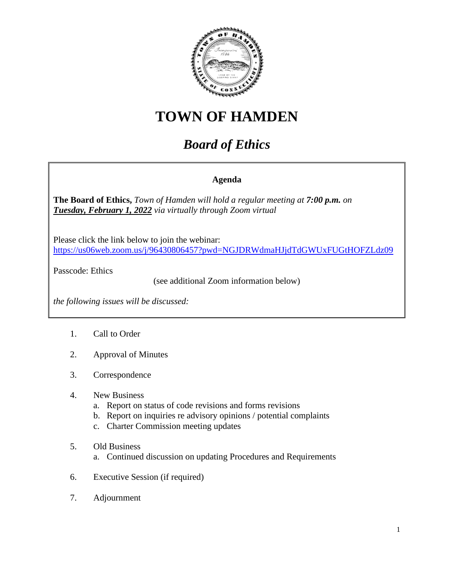

## **TOWN OF HAMDEN**

## *Board of Ethics*

## **Agenda**

**The Board of Ethics,** *Town of Hamden will hold a regular meeting at 7:00 p.m. on Tuesday, February 1, 2022 via virtually through Zoom virtual*

Please click the link below to join the webinar: <https://us06web.zoom.us/j/96430806457?pwd=NGJDRWdmaHJjdTdGWUxFUGtHOFZLdz09>

Passcode: Ethics

(see additional Zoom information below)

*the following issues will be discussed:*

- 1. Call to Order
- 2. Approval of Minutes
- 3. Correspondence
- 4. New Business
	- a. Report on status of code revisions and forms revisions
	- b. Report on inquiries re advisory opinions / potential complaints
	- c. Charter Commission meeting updates
- 5. Old Business
	- a. Continued discussion on updating Procedures and Requirements
- 6. Executive Session (if required)
- 7. Adjournment